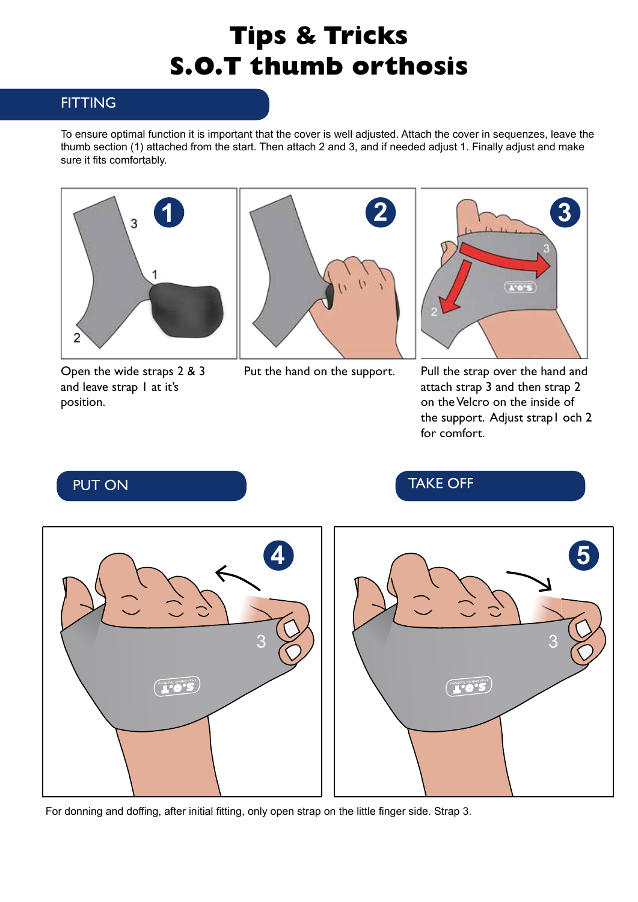## **Tips & Tricks S.O.T thumb orthosis**

## **FITTING**

To ensure optimal function it is important that the cover is well adjusted. Attach the cover in sequenzes, leave the thumb section (1) attached from the start. Then attach 2 and 3, and if needed adjust 1. Finally adjust and make sure it fits comfortably.



Open the wide straps 2 & 3 and leave strap I at it's position.





Put the hand on the support. Pull the strap over the hand and attach strap 3 and then strap 2 on the Velcro on the inside of the support. Adjust strap1 och 2 for comfort.

PUT ON TAKE OFF



For donning and doffing, after initial fitting, only open strap on the little finger side. Strap 3.